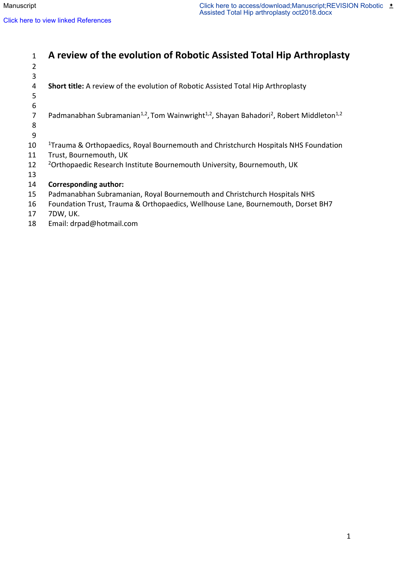| $\mathbf{1}$   | A review of the evolution of Robotic Assisted Total Hip Arthroplasty                                                                    |
|----------------|-----------------------------------------------------------------------------------------------------------------------------------------|
| $\overline{2}$ |                                                                                                                                         |
| 3              |                                                                                                                                         |
| 4              | <b>Short title:</b> A review of the evolution of Robotic Assisted Total Hip Arthroplasty                                                |
| 5              |                                                                                                                                         |
| 6              |                                                                                                                                         |
| 7              | Padmanabhan Subramanian <sup>1,2</sup> , Tom Wainwright <sup>1,2</sup> , Shayan Bahadori <sup>2</sup> , Robert Middleton <sup>1,2</sup> |
| 8              |                                                                                                                                         |
| 9              |                                                                                                                                         |
| 10             | <sup>1</sup> Trauma & Orthopaedics, Royal Bournemouth and Christchurch Hospitals NHS Foundation                                         |
| 11             | Trust, Bournemouth, UK                                                                                                                  |
| 12             | <sup>2</sup> Orthopaedic Research Institute Bournemouth University, Bournemouth, UK                                                     |
| 13             |                                                                                                                                         |
| 14             | <b>Corresponding author:</b>                                                                                                            |
| 15             | Padmanabhan Subramanian, Royal Bournemouth and Christchurch Hospitals NHS                                                               |
| 16             | Foundation Trust, Trauma & Orthopaedics, Wellhouse Lane, Bournemouth, Dorset BH7                                                        |
| 17             | 7DW, UK.                                                                                                                                |
| 18             | Email: drpad@hotmail.com                                                                                                                |
|                |                                                                                                                                         |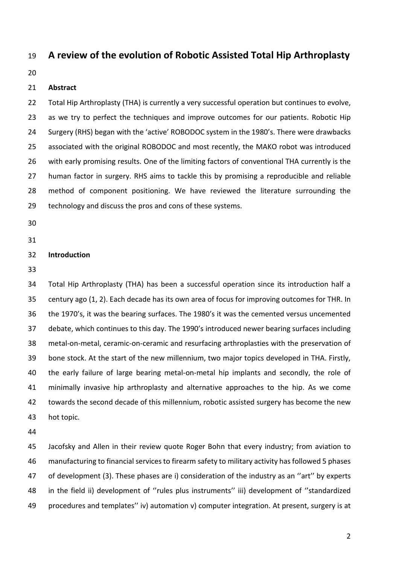# **A review of the evolution of Robotic Assisted Total Hip Arthroplasty**

## **Abstract**

 Total Hip Arthroplasty (THA) is currently a very successful operation but continues to evolve, 23 as we try to perfect the techniques and improve outcomes for our patients. Robotic Hip Surgery (RHS) began with the 'active' ROBODOC system in the 1980's. There were drawbacks associated with the original ROBODOC and most recently, the MAKO robot was introduced with early promising results. One of the limiting factors of conventional THA currently is the human factor in surgery. RHS aims to tackle this by promising a reproducible and reliable method of component positioning. We have reviewed the literature surrounding the 29 technology and discuss the pros and cons of these systems.

#### **Introduction**

 Total Hip Arthroplasty (THA) has been a successful operation since its introduction half a century ago (1, 2). Each decade has its own area of focus for improving outcomes for THR. In the 1970's, it was the bearing surfaces. The 1980's it was the cemented versus uncemented debate, which continues to this day. The 1990's introduced newer bearing surfaces including metal-on-metal, ceramic-on-ceramic and resurfacing arthroplasties with the preservation of bone stock. At the start of the new millennium, two major topics developed in THA. Firstly, the early failure of large bearing metal-on-metal hip implants and secondly, the role of minimally invasive hip arthroplasty and alternative approaches to the hip. As we come towards the second decade of this millennium, robotic assisted surgery has become the new hot topic.

 Jacofsky and Allen in their review quote Roger Bohn that every industry; from aviation to manufacturing to financial services to firearm safety to military activity has followed 5 phases of development (3). These phases are i) consideration of the industry as an ''art'' by experts in the field ii) development of ''rules plus instruments'' iii) development of ''standardized procedures and templates'' iv) automation v) computer integration. At present, surgery is at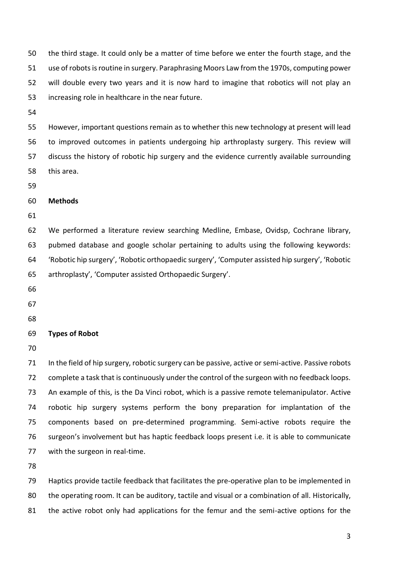the third stage. It could only be a matter of time before we enter the fourth stage, and the 51 use of robots is routine in surgery. Paraphrasing Moors Law from the 1970s, computing power will double every two years and it is now hard to imagine that robotics will not play an increasing role in healthcare in the near future.

 However, important questions remain as to whether this new technology at present will lead to improved outcomes in patients undergoing hip arthroplasty surgery. This review will discuss the history of robotic hip surgery and the evidence currently available surrounding this area.

## **Methods**

 We performed a literature review searching Medline, Embase, Ovidsp, Cochrane library, pubmed database and google scholar pertaining to adults using the following keywords: 'Robotic hip surgery', 'Robotic orthopaedic surgery', 'Computer assisted hip surgery', 'Robotic arthroplasty', 'Computer assisted Orthopaedic Surgery'.

- 
- 
- 

## **Types of Robot**

71 In the field of hip surgery, robotic surgery can be passive, active or semi-active. Passive robots complete a task that is continuously under the control of the surgeon with no feedback loops. An example of this, is the Da Vinci robot, which is a passive remote telemanipulator. Active robotic hip surgery systems perform the bony preparation for implantation of the components based on pre-determined programming. Semi-active robots require the surgeon's involvement but has haptic feedback loops present i.e. it is able to communicate 77 with the surgeon in real-time.

 Haptics provide tactile feedback that facilitates the pre-operative plan to be implemented in 80 the operating room. It can be auditory, tactile and visual or a combination of all. Historically, the active robot only had applications for the femur and the semi-active options for the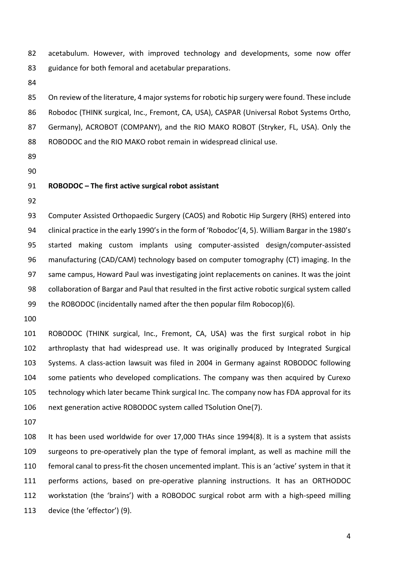acetabulum. However, with improved technology and developments, some now offer guidance for both femoral and acetabular preparations.

 On review of the literature, 4 major systems for robotic hip surgery were found. These include Robodoc (THINK surgical, Inc., Fremont, CA, USA), CASPAR (Universal Robot Systems Ortho, Germany), ACROBOT (COMPANY), and the RIO MAKO ROBOT (Stryker, FL, USA). Only the ROBODOC and the RIO MAKO robot remain in widespread clinical use.

- 
- 

#### **ROBODOC – The first active surgical robot assistant**

 Computer Assisted Orthopaedic Surgery (CAOS) and Robotic Hip Surgery (RHS) entered into 94 clinical practice in the early 1990's in the form of 'Robodoc'(4, 5). William Bargar in the 1980's started making custom implants using computer-assisted design/computer-assisted manufacturing (CAD/CAM) technology based on computer tomography (CT) imaging. In the same campus, Howard Paul was investigating joint replacements on canines. It was the joint collaboration of Bargar and Paul that resulted in the first active robotic surgical system called the ROBODOC (incidentally named after the then popular film Robocop)(6).

 ROBODOC (THINK surgical, Inc., Fremont, CA, USA) was the first surgical robot in hip arthroplasty that had widespread use. It was originally produced by Integrated Surgical Systems. A class-action lawsuit was filed in 2004 in Germany against ROBODOC following some patients who developed complications. The company was then acquired by Curexo technology which later became Think surgical Inc. The company now has FDA approval for its next generation active ROBODOC system called TSolution One(7).

 It has been used worldwide for over 17,000 THAs since 1994(8). It is a system that assists surgeons to pre-operatively plan the type of femoral implant, as well as machine mill the femoral canal to press-fit the chosen uncemented implant. This is an 'active' system in that it performs actions, based on pre-operative planning instructions. It has an ORTHODOC workstation (the 'brains') with a ROBODOC surgical robot arm with a high-speed milling device (the 'effector') (9).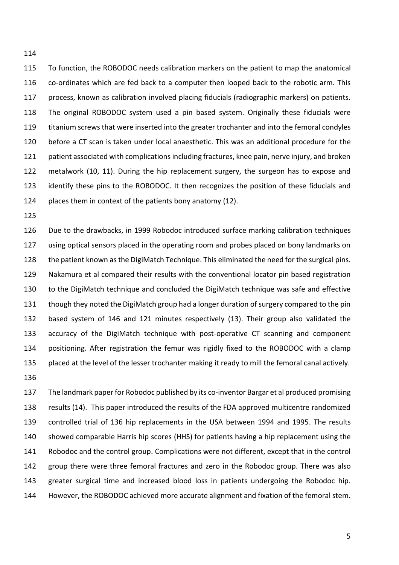To function, the ROBODOC needs calibration markers on the patient to map the anatomical co-ordinates which are fed back to a computer then looped back to the robotic arm. This process, known as calibration involved placing fiducials (radiographic markers) on patients. The original ROBODOC system used a pin based system. Originally these fiducials were titanium screws that were inserted into the greater trochanter and into the femoral condyles before a CT scan is taken under local anaesthetic. This was an additional procedure for the patient associated with complications including fractures, knee pain, nerve injury, and broken metalwork (10, 11). During the hip replacement surgery, the surgeon has to expose and identify these pins to the ROBODOC. It then recognizes the position of these fiducials and places them in context of the patients bony anatomy (12).

 Due to the drawbacks, in 1999 Robodoc introduced surface marking calibration techniques using optical sensors placed in the operating room and probes placed on bony landmarks on 128 the patient known as the DigiMatch Technique. This eliminated the need for the surgical pins. Nakamura et al compared their results with the conventional locator pin based registration to the DigiMatch technique and concluded the DigiMatch technique was safe and effective though they noted the DigiMatch group had a longer duration of surgery compared to the pin based system of 146 and 121 minutes respectively (13). Their group also validated the accuracy of the DigiMatch technique with post-operative CT scanning and component positioning. After registration the femur was rigidly fixed to the ROBODOC with a clamp placed at the level of the lesser trochanter making it ready to mill the femoral canal actively. 

 The landmark paper for Robodoc published by its co-inventor Bargar et al produced promising results (14). This paper introduced the results of the FDA approved multicentre randomized controlled trial of 136 hip replacements in the USA between 1994 and 1995. The results showed comparable Harris hip scores (HHS) for patients having a hip replacement using the Robodoc and the control group. Complications were not different, except that in the control group there were three femoral fractures and zero in the Robodoc group. There was also greater surgical time and increased blood loss in patients undergoing the Robodoc hip. However, the ROBODOC achieved more accurate alignment and fixation of the femoral stem.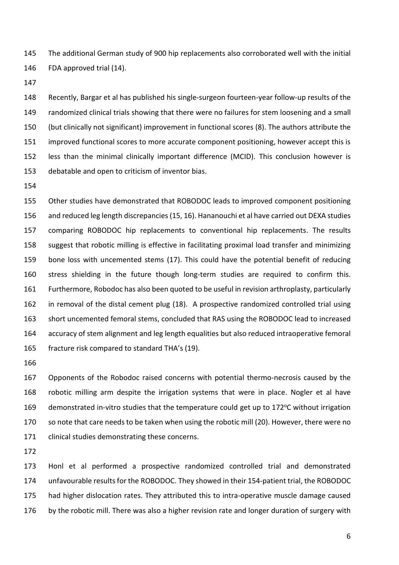The additional German study of 900 hip replacements also corroborated well with the initial FDA approved trial (14).

 Recently, Bargar et al has published his single-surgeon fourteen-year follow-up results of the randomized clinical trials showing that there were no failures for stem loosening and a small (but clinically not significant) improvement in functional scores (8). The authors attribute the improved functional scores to more accurate component positioning, however accept this is less than the minimal clinically important difference (MCID). This conclusion however is debatable and open to criticism of inventor bias.

 Other studies have demonstrated that ROBODOC leads to improved component positioning and reduced leg length discrepancies(15, 16). Hananouchi et al have carried out DEXA studies comparing ROBODOC hip replacements to conventional hip replacements. The results suggest that robotic milling is effective in facilitating proximal load transfer and minimizing bone loss with uncemented stems (17). This could have the potential benefit of reducing stress shielding in the future though long-term studies are required to confirm this. Furthermore, Robodoc has also been quoted to be useful in revision arthroplasty, particularly in removal of the distal cement plug (18). A prospective randomized controlled trial using short uncemented femoral stems, concluded that RAS using the ROBODOC lead to increased accuracy of stem alignment and leg length equalities but also reduced intraoperative femoral fracture risk compared to standard THA's (19).

 Opponents of the Robodoc raised concerns with potential thermo-necrosis caused by the robotic milling arm despite the irrigation systems that were in place. Nogler et al have 169 demonstrated in-vitro studies that the temperature could get up to 172 $\degree$ C without irrigation so note that care needs to be taken when using the robotic mill (20). However, there were no clinical studies demonstrating these concerns.

 Honl et al performed a prospective randomized controlled trial and demonstrated unfavourable results for the ROBODOC. They showed in their 154-patient trial, the ROBODOC 175 had higher dislocation rates. They attributed this to intra-operative muscle damage caused 176 by the robotic mill. There was also a higher revision rate and longer duration of surgery with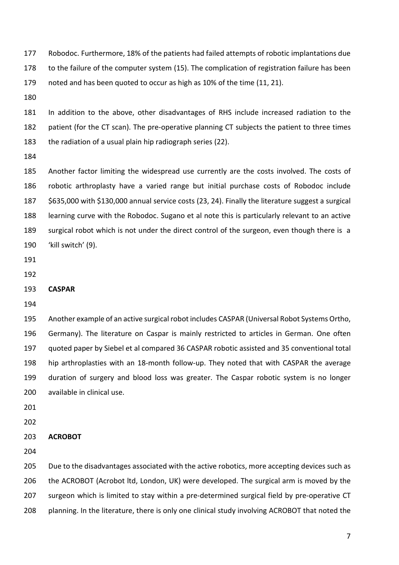Robodoc. Furthermore, 18% of the patients had failed attempts of robotic implantations due to the failure of the computer system (15). The complication of registration failure has been noted and has been quoted to occur as high as 10% of the time (11, 21).

 In addition to the above, other disadvantages of RHS include increased radiation to the patient (for the CT scan). The pre-operative planning CT subjects the patient to three times the radiation of a usual plain hip radiograph series (22).

 Another factor limiting the widespread use currently are the costs involved. The costs of robotic arthroplasty have a varied range but initial purchase costs of Robodoc include \$635,000 with \$130,000 annual service costs (23, 24). Finally the literature suggest a surgical learning curve with the Robodoc. Sugano et al note this is particularly relevant to an active surgical robot which is not under the direct control of the surgeon, even though there is a 'kill switch' (9).

#### **CASPAR**

 Another example of an active surgical robot includes CASPAR (Universal Robot Systems Ortho, Germany). The literature on Caspar is mainly restricted to articles in German. One often quoted paper by Siebel et al compared 36 CASPAR robotic assisted and 35 conventional total hip arthroplasties with an 18-month follow-up. They noted that with CASPAR the average duration of surgery and blood loss was greater. The Caspar robotic system is no longer available in clinical use.

#### **ACROBOT**

205 Due to the disadvantages associated with the active robotics, more accepting devices such as the ACROBOT (Acrobot ltd, London, UK) were developed. The surgical arm is moved by the 207 surgeon which is limited to stay within a pre-determined surgical field by pre-operative CT planning. In the literature, there is only one clinical study involving ACROBOT that noted the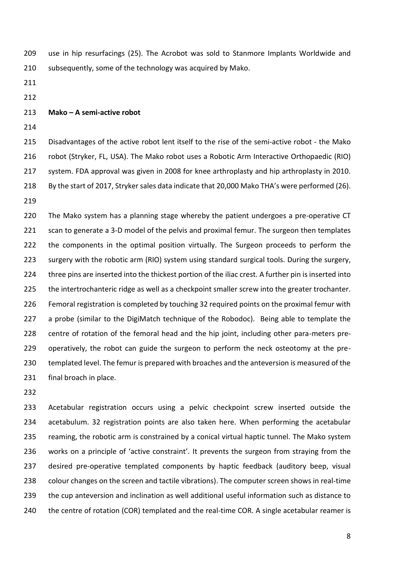use in hip resurfacings (25). The Acrobot was sold to Stanmore Implants Worldwide and subsequently, some of the technology was acquired by Mako.

- 
- 

#### **Mako – A semi-active robot**

 Disadvantages of the active robot lent itself to the rise of the semi-active robot - the Mako robot (Stryker, FL, USA). The Mako robot uses a Robotic Arm Interactive Orthopaedic (RIO) system. FDA approval was given in 2008 for knee arthroplasty and hip arthroplasty in 2010. By the start of 2017, Stryker sales data indicate that 20,000 Mako THA's were performed (26). 

 The Mako system has a planning stage whereby the patient undergoes a pre-operative CT 221 scan to generate a 3-D model of the pelvis and proximal femur. The surgeon then templates the components in the optimal position virtually. The Surgeon proceeds to perform the surgery with the robotic arm (RIO) system using standard surgical tools. During the surgery, three pins are inserted into the thickest portion of the iliac crest. A further pin is inserted into 225 the intertrochanteric ridge as well as a checkpoint smaller screw into the greater trochanter. Femoral registration is completed by touching 32 required points on the proximal femur with 227 a probe (similar to the DigiMatch technique of the Robodoc). Being able to template the centre of rotation of the femoral head and the hip joint, including other para-meters pre- operatively, the robot can guide the surgeon to perform the neck osteotomy at the pre- templated level. The femur is prepared with broaches and the anteversion is measured of the final broach in place.

 Acetabular registration occurs using a pelvic checkpoint screw inserted outside the acetabulum. 32 registration points are also taken here. When performing the acetabular 235 reaming, the robotic arm is constrained by a conical virtual haptic tunnel. The Mako system works on a principle of 'active constraint'. It prevents the surgeon from straying from the desired pre-operative templated components by haptic feedback (auditory beep, visual colour changes on the screen and tactile vibrations). The computer screen shows in real-time the cup anteversion and inclination as well additional useful information such as distance to 240 the centre of rotation (COR) templated and the real-time COR. A single acetabular reamer is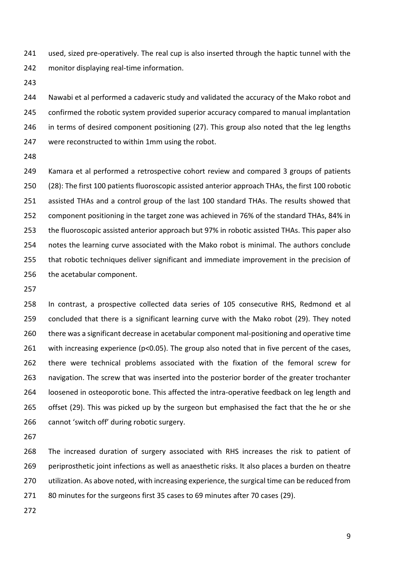used, sized pre-operatively. The real cup is also inserted through the haptic tunnel with the monitor displaying real-time information.

 Nawabi et al performed a cadaveric study and validated the accuracy of the Mako robot and confirmed the robotic system provided superior accuracy compared to manual implantation 246 in terms of desired component positioning (27). This group also noted that the leg lengths were reconstructed to within 1mm using the robot.

 Kamara et al performed a retrospective cohort review and compared 3 groups of patients (28): The first 100 patients fluoroscopic assisted anterior approach THAs, the first 100 robotic assisted THAs and a control group of the last 100 standard THAs. The results showed that component positioning in the target zone was achieved in 76% of the standard THAs, 84% in the fluoroscopic assisted anterior approach but 97% in robotic assisted THAs. This paper also notes the learning curve associated with the Mako robot is minimal. The authors conclude that robotic techniques deliver significant and immediate improvement in the precision of the acetabular component.

 In contrast, a prospective collected data series of 105 consecutive RHS, Redmond et al concluded that there is a significant learning curve with the Mako robot (29). They noted there was a significant decrease in acetabular component mal-positioning and operative time 261 with increasing experience (p<0.05). The group also noted that in five percent of the cases, there were technical problems associated with the fixation of the femoral screw for navigation. The screw that was inserted into the posterior border of the greater trochanter loosened in osteoporotic bone. This affected the intra-operative feedback on leg length and offset (29). This was picked up by the surgeon but emphasised the fact that the he or she cannot 'switch off' during robotic surgery.

 The increased duration of surgery associated with RHS increases the risk to patient of 269 periprosthetic joint infections as well as anaesthetic risks. It also places a burden on theatre utilization. As above noted, with increasing experience, the surgical time can be reduced from 80 minutes for the surgeons first 35 cases to 69 minutes after 70 cases (29).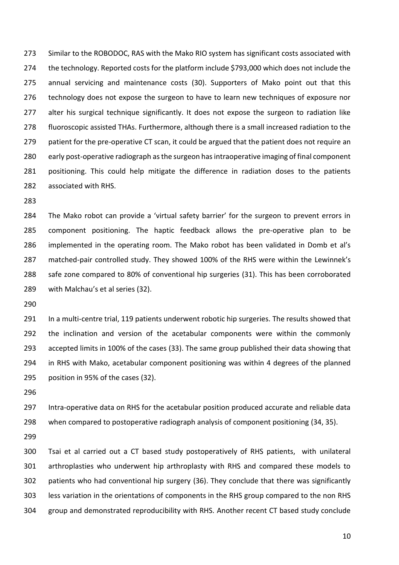Similar to the ROBODOC, RAS with the Mako RIO system has significant costs associated with the technology. Reported costs for the platform include \$793,000 which does not include the annual servicing and maintenance costs (30). Supporters of Mako point out that this technology does not expose the surgeon to have to learn new techniques of exposure nor 277 alter his surgical technique significantly. It does not expose the surgeon to radiation like fluoroscopic assisted THAs. Furthermore, although there is a small increased radiation to the 279 patient for the pre-operative CT scan, it could be argued that the patient does not require an early post-operative radiograph as the surgeon has intraoperative imaging of final component positioning. This could help mitigate the difference in radiation doses to the patients associated with RHS.

 The Mako robot can provide a 'virtual safety barrier' for the surgeon to prevent errors in component positioning. The haptic feedback allows the pre-operative plan to be implemented in the operating room. The Mako robot has been validated in Domb et al's matched-pair controlled study. They showed 100% of the RHS were within the Lewinnek's safe zone compared to 80% of conventional hip surgeries (31). This has been corroborated with Malchau's et al series (32).

291 In a multi-centre trial, 119 patients underwent robotic hip surgeries. The results showed that the inclination and version of the acetabular components were within the commonly accepted limits in 100% of the cases (33). The same group published their data showing that in RHS with Mako, acetabular component positioning was within 4 degrees of the planned position in 95% of the cases (32).

 Intra-operative data on RHS for the acetabular position produced accurate and reliable data when compared to postoperative radiograph analysis of component positioning (34, 35).

 Tsai et al carried out a CT based study postoperatively of RHS patients, with unilateral arthroplasties who underwent hip arthroplasty with RHS and compared these models to patients who had conventional hip surgery (36). They conclude that there was significantly less variation in the orientations of components in the RHS group compared to the non RHS group and demonstrated reproducibility with RHS. Another recent CT based study conclude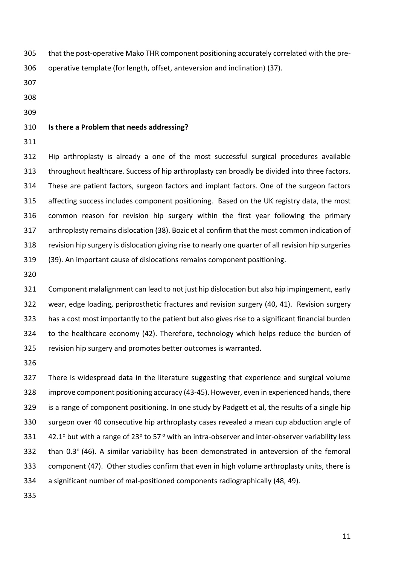that the post-operative Mako THR component positioning accurately correlated with the pre-

operative template (for length, offset, anteversion and inclination) (37).

- 
- 

#### **Is there a Problem that needs addressing?**

 Hip arthroplasty is already a one of the most successful surgical procedures available throughout healthcare. Success of hip arthroplasty can broadly be divided into three factors. These are patient factors, surgeon factors and implant factors. One of the surgeon factors affecting success includes component positioning. Based on the UK registry data, the most common reason for revision hip surgery within the first year following the primary arthroplasty remains dislocation (38). Bozic et al confirm that the most common indication of revision hip surgery is dislocation giving rise to nearly one quarter of all revision hip surgeries (39). An important cause of dislocations remains component positioning.

 Component malalignment can lead to not just hip dislocation but also hip impingement, early wear, edge loading, periprosthetic fractures and revision surgery (40, 41). Revision surgery has a cost most importantly to the patient but also gives rise to a significant financial burden to the healthcare economy (42). Therefore, technology which helps reduce the burden of revision hip surgery and promotes better outcomes is warranted.

 There is widespread data in the literature suggesting that experience and surgical volume improve component positioning accuracy (43-45). However, even in experienced hands, there is a range of component positioning. In one study by Padgett et al, the results of a single hip surgeon over 40 consecutive hip arthroplasty cases revealed a mean cup abduction angle of  $\,$  42.1° but with a range of 23° to 57° with an intra-observer and inter-observer variability less 332 than  $0.3^{\circ}$  (46). A similar variability has been demonstrated in anteversion of the femoral component (47). Other studies confirm that even in high volume arthroplasty units, there is a significant number of mal-positioned components radiographically (48, 49).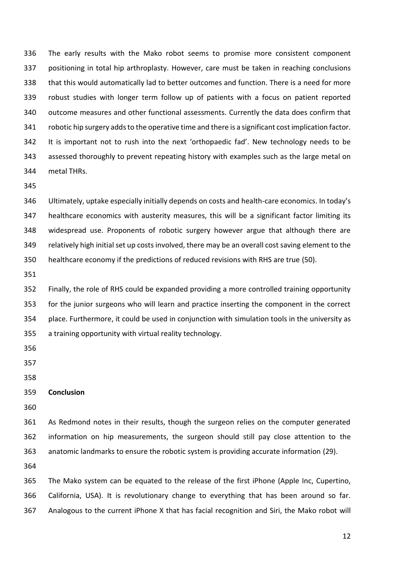The early results with the Mako robot seems to promise more consistent component positioning in total hip arthroplasty. However, care must be taken in reaching conclusions that this would automatically lad to better outcomes and function. There is a need for more robust studies with longer term follow up of patients with a focus on patient reported outcome measures and other functional assessments. Currently the data does confirm that robotic hip surgery adds to the operative time and there is a significant cost implication factor. It is important not to rush into the next 'orthopaedic fad'. New technology needs to be assessed thoroughly to prevent repeating history with examples such as the large metal on metal THRs.

 Ultimately, uptake especially initially depends on costs and health-care economics. In today's healthcare economics with austerity measures, this will be a significant factor limiting its widespread use. Proponents of robotic surgery however argue that although there are relatively high initial set up costs involved, there may be an overall cost saving element to the healthcare economy if the predictions of reduced revisions with RHS are true (50).

 Finally, the role of RHS could be expanded providing a more controlled training opportunity for the junior surgeons who will learn and practice inserting the component in the correct place. Furthermore, it could be used in conjunction with simulation tools in the university as a training opportunity with virtual reality technology.

- 
- 
- 

## **Conclusion**

 As Redmond notes in their results, though the surgeon relies on the computer generated information on hip measurements, the surgeon should still pay close attention to the anatomic landmarks to ensure the robotic system is providing accurate information (29).

 The Mako system can be equated to the release of the first iPhone (Apple Inc, Cupertino, California, USA). It is revolutionary change to everything that has been around so far. Analogous to the current iPhone X that has facial recognition and Siri, the Mako robot will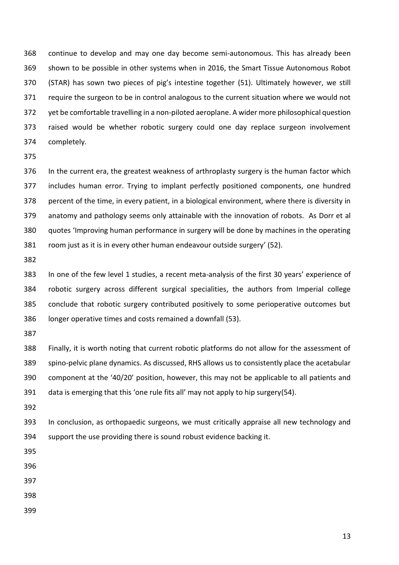continue to develop and may one day become semi-autonomous. This has already been shown to be possible in other systems when in 2016, the Smart Tissue Autonomous Robot (STAR) has sown two pieces of pig's intestine together (51). Ultimately however, we still require the surgeon to be in control analogous to the current situation where we would not yet be comfortable travelling in a non-piloted aeroplane. A wider more philosophical question raised would be whether robotic surgery could one day replace surgeon involvement completely.

 In the current era, the greatest weakness of arthroplasty surgery is the human factor which includes human error. Trying to implant perfectly positioned components, one hundred percent of the time, in every patient, in a biological environment, where there is diversity in anatomy and pathology seems only attainable with the innovation of robots. As Dorr et al quotes 'Improving human performance in surgery will be done by machines in the operating room just as it is in every other human endeavour outside surgery' (52).

 In one of the few level 1 studies, a recent meta-analysis of the first 30 years' experience of robotic surgery across different surgical specialities, the authors from Imperial college conclude that robotic surgery contributed positively to some perioperative outcomes but longer operative times and costs remained a downfall (53).

 Finally, it is worth noting that current robotic platforms do not allow for the assessment of spino-pelvic plane dynamics. As discussed, RHS allows us to consistently place the acetabular component at the '40/20' position, however, this may not be applicable to all patients and data is emerging that this 'one rule fits all' may not apply to hip surgery(54).

 In conclusion, as orthopaedic surgeons, we must critically appraise all new technology and support the use providing there is sound robust evidence backing it.

- 
- 
- 
- 
-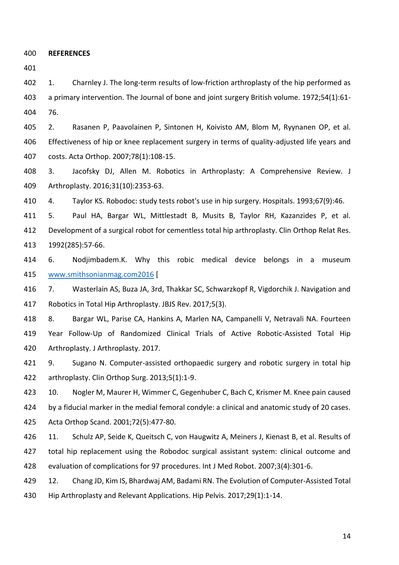**REFERENCES**

402 1. Charnley J. The long-term results of low-friction arthroplasty of the hip performed as a primary intervention. The Journal of bone and joint surgery British volume. 1972;54(1):61- 76.

 2. Rasanen P, Paavolainen P, Sintonen H, Koivisto AM, Blom M, Ryynanen OP, et al. Effectiveness of hip or knee replacement surgery in terms of quality-adjusted life years and costs. Acta Orthop. 2007;78(1):108-15.

 3. Jacofsky DJ, Allen M. Robotics in Arthroplasty: A Comprehensive Review. J Arthroplasty. 2016;31(10):2353-63.

4. Taylor KS. Robodoc: study tests robot's use in hip surgery. Hospitals. 1993;67(9):46.

 5. Paul HA, Bargar WL, Mittlestadt B, Musits B, Taylor RH, Kazanzides P, et al. Development of a surgical robot for cementless total hip arthroplasty. Clin Orthop Relat Res. 1992(285):57-66.

 6. Nodjimbadem.K. Why this robic medical device belongs in a museum [www.smithsonianmag.com2016](/Users/paddysubramanian/Library/Containers/com.apple.mail/Data/Library/Mail%20Downloads/A1E9BCD8-3037-4F51-A2C2-6EBE09560C2B/www.smithsonianmag.com2016) [

 7. Wasterlain AS, Buza JA, 3rd, Thakkar SC, Schwarzkopf R, Vigdorchik J. Navigation and Robotics in Total Hip Arthroplasty. JBJS Rev. 2017;5(3).

 8. Bargar WL, Parise CA, Hankins A, Marlen NA, Campanelli V, Netravali NA. Fourteen Year Follow-Up of Randomized Clinical Trials of Active Robotic-Assisted Total Hip Arthroplasty. J Arthroplasty. 2017.

421 9. Sugano N. Computer-assisted orthopaedic surgery and robotic surgery in total hip arthroplasty. Clin Orthop Surg. 2013;5(1):1-9.

423 10. Nogler M, Maurer H, Wimmer C, Gegenhuber C, Bach C, Krismer M. Knee pain caused by a fiducial marker in the medial femoral condyle: a clinical and anatomic study of 20 cases. Acta Orthop Scand. 2001;72(5):477-80.

 11. Schulz AP, Seide K, Queitsch C, von Haugwitz A, Meiners J, Kienast B, et al. Results of total hip replacement using the Robodoc surgical assistant system: clinical outcome and evaluation of complications for 97 procedures. Int J Med Robot. 2007;3(4):301-6.

 12. Chang JD, Kim IS, Bhardwaj AM, Badami RN. The Evolution of Computer-Assisted Total Hip Arthroplasty and Relevant Applications. Hip Pelvis. 2017;29(1):1-14.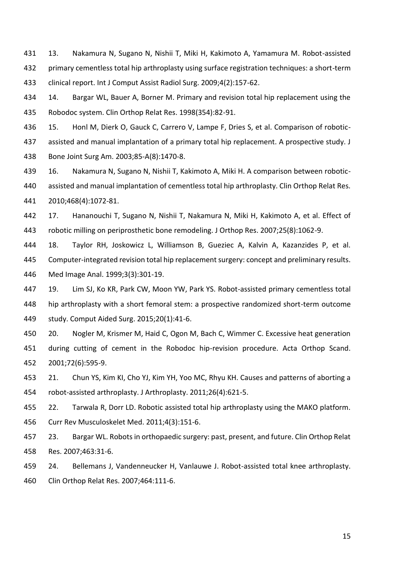13. Nakamura N, Sugano N, Nishii T, Miki H, Kakimoto A, Yamamura M. Robot-assisted primary cementless total hip arthroplasty using surface registration techniques: a short-term clinical report. Int J Comput Assist Radiol Surg. 2009;4(2):157-62.

 14. Bargar WL, Bauer A, Borner M. Primary and revision total hip replacement using the Robodoc system. Clin Orthop Relat Res. 1998(354):82-91.

 15. Honl M, Dierk O, Gauck C, Carrero V, Lampe F, Dries S, et al. Comparison of robotic- assisted and manual implantation of a primary total hip replacement. A prospective study. J Bone Joint Surg Am. 2003;85-A(8):1470-8.

 16. Nakamura N, Sugano N, Nishii T, Kakimoto A, Miki H. A comparison between robotic- assisted and manual implantation of cementless total hip arthroplasty. Clin Orthop Relat Res. 2010;468(4):1072-81.

 17. Hananouchi T, Sugano N, Nishii T, Nakamura N, Miki H, Kakimoto A, et al. Effect of robotic milling on periprosthetic bone remodeling. J Orthop Res. 2007;25(8):1062-9.

 18. Taylor RH, Joskowicz L, Williamson B, Gueziec A, Kalvin A, Kazanzides P, et al. Computer-integrated revision total hip replacement surgery: concept and preliminary results. Med Image Anal. 1999;3(3):301-19.

 19. Lim SJ, Ko KR, Park CW, Moon YW, Park YS. Robot-assisted primary cementless total hip arthroplasty with a short femoral stem: a prospective randomized short-term outcome study. Comput Aided Surg. 2015;20(1):41-6.

450 20. Nogler M, Krismer M, Haid C, Ogon M, Bach C, Wimmer C. Excessive heat generation during cutting of cement in the Robodoc hip-revision procedure. Acta Orthop Scand. 2001;72(6):595-9.

 21. Chun YS, Kim KI, Cho YJ, Kim YH, Yoo MC, Rhyu KH. Causes and patterns of aborting a robot-assisted arthroplasty. J Arthroplasty. 2011;26(4):621-5.

 22. Tarwala R, Dorr LD. Robotic assisted total hip arthroplasty using the MAKO platform. Curr Rev Musculoskelet Med. 2011;4(3):151-6.

 23. Bargar WL. Robots in orthopaedic surgery: past, present, and future. Clin Orthop Relat Res. 2007;463:31-6.

 24. Bellemans J, Vandenneucker H, Vanlauwe J. Robot-assisted total knee arthroplasty. Clin Orthop Relat Res. 2007;464:111-6.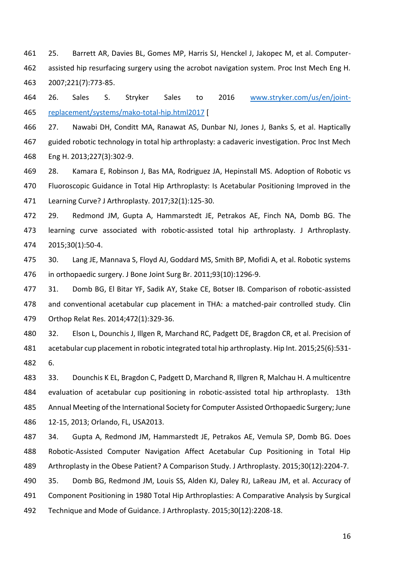25. Barrett AR, Davies BL, Gomes MP, Harris SJ, Henckel J, Jakopec M, et al. Computer- assisted hip resurfacing surgery using the acrobot navigation system. Proc Inst Mech Eng H. 2007;221(7):773-85.

 26. Sales S. Stryker Sales to 2016 [www.stryker.com/us/en/joint-](/Users/paddysubramanian/Library/Containers/com.apple.mail/Data/Library/Mail%20Downloads/A1E9BCD8-3037-4F51-A2C2-6EBE09560C2B/www.stryker.com/us/en/joint-replacement/systems/mako-total-hip.html2017)[replacement/systems/mako-total-hip.html2017](/Users/paddysubramanian/Library/Containers/com.apple.mail/Data/Library/Mail%20Downloads/A1E9BCD8-3037-4F51-A2C2-6EBE09560C2B/www.stryker.com/us/en/joint-replacement/systems/mako-total-hip.html2017) [

 27. Nawabi DH, Conditt MA, Ranawat AS, Dunbar NJ, Jones J, Banks S, et al. Haptically guided robotic technology in total hip arthroplasty: a cadaveric investigation. Proc Inst Mech Eng H. 2013;227(3):302-9.

 28. Kamara E, Robinson J, Bas MA, Rodriguez JA, Hepinstall MS. Adoption of Robotic vs Fluoroscopic Guidance in Total Hip Arthroplasty: Is Acetabular Positioning Improved in the Learning Curve? J Arthroplasty. 2017;32(1):125-30.

 29. Redmond JM, Gupta A, Hammarstedt JE, Petrakos AE, Finch NA, Domb BG. The learning curve associated with robotic-assisted total hip arthroplasty. J Arthroplasty. 2015;30(1):50-4.

 30. Lang JE, Mannava S, Floyd AJ, Goddard MS, Smith BP, Mofidi A, et al. Robotic systems in orthopaedic surgery. J Bone Joint Surg Br. 2011;93(10):1296-9.

 31. Domb BG, El Bitar YF, Sadik AY, Stake CE, Botser IB. Comparison of robotic-assisted and conventional acetabular cup placement in THA: a matched-pair controlled study. Clin Orthop Relat Res. 2014;472(1):329-36.

 32. Elson L, Dounchis J, Illgen R, Marchand RC, Padgett DE, Bragdon CR, et al. Precision of acetabular cup placement in robotic integrated total hip arthroplasty. Hip Int. 2015;25(6):531- 6.

 33. Dounchis K EL, Bragdon C, Padgett D, Marchand R, Illgren R, Malchau H. A multicentre evaluation of acetabular cup positioning in robotic-assisted total hip arthroplasty. 13th Annual Meeting of the International Society for Computer Assisted Orthopaedic Surgery; June 12-15, 2013; Orlando, FL, USA2013.

 34. Gupta A, Redmond JM, Hammarstedt JE, Petrakos AE, Vemula SP, Domb BG. Does Robotic-Assisted Computer Navigation Affect Acetabular Cup Positioning in Total Hip Arthroplasty in the Obese Patient? A Comparison Study. J Arthroplasty. 2015;30(12):2204-7.

 35. Domb BG, Redmond JM, Louis SS, Alden KJ, Daley RJ, LaReau JM, et al. Accuracy of Component Positioning in 1980 Total Hip Arthroplasties: A Comparative Analysis by Surgical Technique and Mode of Guidance. J Arthroplasty. 2015;30(12):2208-18.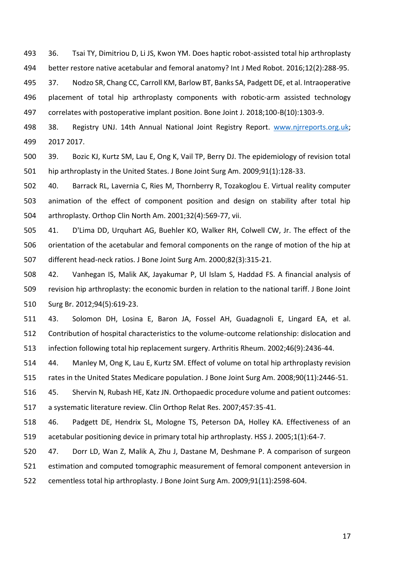36. Tsai TY, Dimitriou D, Li JS, Kwon YM. Does haptic robot-assisted total hip arthroplasty better restore native acetabular and femoral anatomy? Int J Med Robot. 2016;12(2):288-95.

 37. Nodzo SR, Chang CC, Carroll KM, Barlow BT, Banks SA, Padgett DE, et al. Intraoperative placement of total hip arthroplasty components with robotic-arm assisted technology correlates with postoperative implant position. Bone Joint J. 2018;100-B(10):1303-9.

498 38. Registry UNJ. 14th Annual National Joint Registry Report. [www.njrreports.org.uk;](/Users/paddysubramanian/Library/Containers/com.apple.mail/Data/Library/Mail%20Downloads/A1E9BCD8-3037-4F51-A2C2-6EBE09560C2B/www.njrreports.org.uk) 2017 2017.

 39. Bozic KJ, Kurtz SM, Lau E, Ong K, Vail TP, Berry DJ. The epidemiology of revision total hip arthroplasty in the United States. J Bone Joint Surg Am. 2009;91(1):128-33.

 40. Barrack RL, Lavernia C, Ries M, Thornberry R, Tozakoglou E. Virtual reality computer animation of the effect of component position and design on stability after total hip arthroplasty. Orthop Clin North Am. 2001;32(4):569-77, vii.

 41. D'Lima DD, Urquhart AG, Buehler KO, Walker RH, Colwell CW, Jr. The effect of the orientation of the acetabular and femoral components on the range of motion of the hip at different head-neck ratios. J Bone Joint Surg Am. 2000;82(3):315-21.

 42. Vanhegan IS, Malik AK, Jayakumar P, Ul Islam S, Haddad FS. A financial analysis of revision hip arthroplasty: the economic burden in relation to the national tariff. J Bone Joint Surg Br. 2012;94(5):619-23.

 43. Solomon DH, Losina E, Baron JA, Fossel AH, Guadagnoli E, Lingard EA, et al. Contribution of hospital characteristics to the volume-outcome relationship: dislocation and infection following total hip replacement surgery. Arthritis Rheum. 2002;46(9):2436-44.

 44. Manley M, Ong K, Lau E, Kurtz SM. Effect of volume on total hip arthroplasty revision rates in the United States Medicare population. J Bone Joint Surg Am. 2008;90(11):2446-51.

 45. Shervin N, Rubash HE, Katz JN. Orthopaedic procedure volume and patient outcomes: a systematic literature review. Clin Orthop Relat Res. 2007;457:35-41.

 46. Padgett DE, Hendrix SL, Mologne TS, Peterson DA, Holley KA. Effectiveness of an acetabular positioning device in primary total hip arthroplasty. HSS J. 2005;1(1):64-7.

 47. Dorr LD, Wan Z, Malik A, Zhu J, Dastane M, Deshmane P. A comparison of surgeon estimation and computed tomographic measurement of femoral component anteversion in cementless total hip arthroplasty. J Bone Joint Surg Am. 2009;91(11):2598-604.